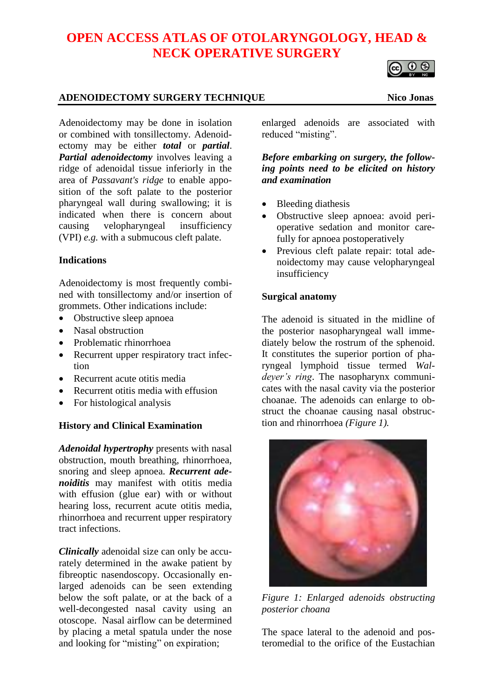# **OPEN ACCESS ATLAS OF OTOLARYNGOLOGY, HEAD & NECK OPERATIVE SURGERY**

## **ADENOIDECTOMY SURGERY TECHNIQUE Nico Jonas**

Adenoidectomy may be done in isolation or combined with tonsillectomy. Adenoidectomy may be either *total* or *partial*. *Partial adenoidectomy* involves leaving a ridge of adenoidal tissue inferiorly in the area of *Passavant's ridge* to enable apposition of the soft palate to the posterior pharyngeal wall during swallowing; it is indicated when there is concern about causing velopharyngeal insufficiency (VPI) *e.g.* with a submucous cleft palate.

### **Indications**

Adenoidectomy is most frequently combined with tonsillectomy and/or insertion of grommets. Other indications include:

- Obstructive sleep apnoea
- Nasal obstruction
- Problematic rhinorrhoea
- Recurrent upper respiratory tract infection
- Recurrent acute otitis media
- Recurrent otitis media with effusion
- For histological analysis

### **History and Clinical Examination**

*Adenoidal hypertrophy* presents with nasal obstruction, mouth breathing, rhinorrhoea, snoring and sleep apnoea. *Recurrent adenoiditis* may manifest with otitis media with effusion (glue ear) with or without hearing loss, recurrent acute otitis media, rhinorrhoea and recurrent upper respiratory tract infections.

*Clinically* adenoidal size can only be accurately determined in the awake patient by fibreoptic nasendoscopy. Occasionally enlarged adenoids can be seen extending below the soft palate, or at the back of a well-decongested nasal cavity using an otoscope. Nasal airflow can be determined by placing a metal spatula under the nose and looking for "misting" on expiration;

enlarged adenoids are associated with reduced "misting".

*Before embarking on surgery, the following points need to be elicited on history and examination*

- Bleeding diathesis
- Obstructive sleep apnoea: avoid perioperative sedation and monitor carefully for apnoea postoperatively
- Previous cleft palate repair: total adenoidectomy may cause velopharyngeal insufficiency

## **Surgical anatomy**

The adenoid is situated in the midline of the posterior nasopharyngeal wall immediately below the rostrum of the sphenoid. It constitutes the superior portion of pharyngeal lymphoid tissue termed *Waldeyer's ring*. The nasopharynx communicates with the nasal cavity via the posterior choanae. The adenoids can enlarge to obstruct the choanae causing nasal obstruction and rhinorrhoea *(Figure 1).*

*Figure 1: Enlarged adenoids obstructing posterior choana*

The space lateral to the adenoid and posteromedial to the orifice of the Eustachian



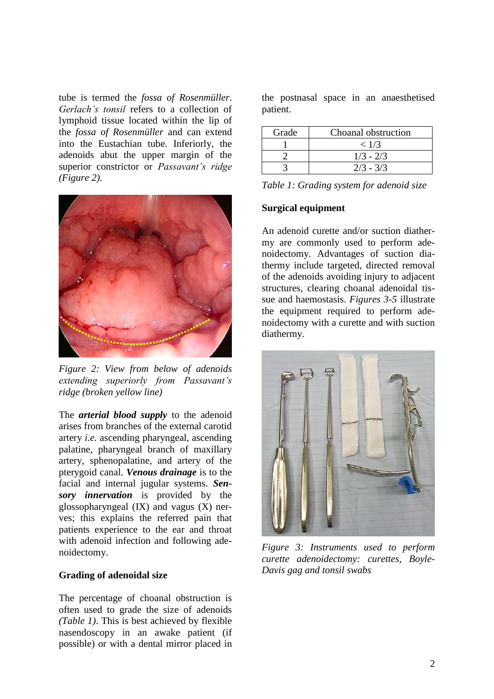tube is termed the *fossa of Rosenmüller*. *Gerlach's tonsil* refers to a collection of lymphoid tissue located within the lip of the *fossa of Rosenmüller* and can extend into the Eustachian tube. Inferiorly, the adenoids abut the upper margin of the superior constrictor or *Passavant's ridge (Figure 2).*



*Figure 2: View from below of adenoids extending superiorly from Passavant's ridge (broken yellow line)*

The *arterial blood supply* to the adenoid arises from branches of the external carotid artery *i.e.* ascending pharyngeal, ascending palatine, pharyngeal branch of maxillary artery, sphenopalatine, and artery of the pterygoid canal. *Venous drainage* is to the facial and internal jugular systems. *Sensory innervation* is provided by the glossopharyngeal (IX) and vagus (X) nerves; this explains the referred pain that patients experience to the ear and throat with adenoid infection and following adenoidectomy.

#### **Grading of adenoidal size**

The percentage of choanal obstruction is often used to grade the size of adenoids *(Table 1)*. This is best achieved by flexible nasendoscopy in an awake patient (if possible) or with a dental mirror placed in the postnasal space in an anaesthetised patient.

| Grade | Choanal obstruction |
|-------|---------------------|
|       | < 1/3               |
|       | $1/3 - 2/3$         |
|       | $2/3 - 3/3$         |

| Table 1: Grading system for adenoid size |  |  |  |  |  |  |
|------------------------------------------|--|--|--|--|--|--|
|------------------------------------------|--|--|--|--|--|--|

#### **Surgical equipment**

An adenoid curette and/or suction diathermy are commonly used to perform adenoidectomy. Advantages of suction diathermy include targeted, directed removal of the adenoids avoiding injury to adjacent structures, clearing choanal adenoidal tissue and haemostasis. *Figures 3-5* illustrate the equipment required to perform adenoidectomy with a curette and with suction diathermy.



*Figure 3: Instruments used to perform curette adenoidectomy: curettes, Boyle-Davis gag and tonsil swabs*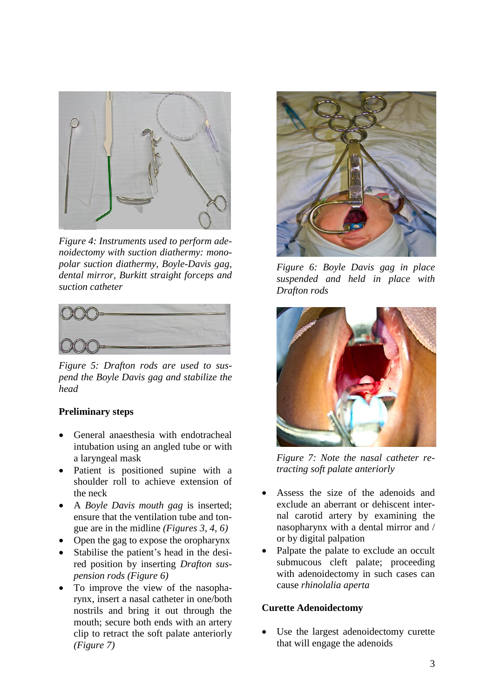

*Figure 4: Instruments used to perform adenoidectomy with suction diathermy: monopolar suction diathermy, Boyle-Davis gag, dental mirror, Burkitt straight forceps and suction catheter*



*Figure 5: Drafton rods are used to suspend the Boyle Davis gag and stabilize the head*

### **Preliminary steps**

- General anaesthesia with endotracheal intubation using an angled tube or with a laryngeal mask
- Patient is positioned supine with a shoulder roll to achieve extension of the neck
- A *Boyle Davis mouth gag* is inserted; ensure that the ventilation tube and tongue are in the midline *(Figures 3, 4, 6)*
- Open the gag to expose the oropharynx
- Stabilise the patient's head in the desired position by inserting *Drafton suspension rods (Figure 6)*
- To improve the view of the nasopharynx, insert a nasal catheter in one/both nostrils and bring it out through the mouth; secure both ends with an artery clip to retract the soft palate anteriorly *(Figure 7)*



*Figure 6: Boyle Davis gag in place suspended and held in place with Drafton rods*



*Figure 7: Note the nasal catheter retracting soft palate anteriorly*

- Assess the size of the adenoids and exclude an aberrant or dehiscent internal carotid artery by examining the nasopharynx with a dental mirror and / or by digital palpation
- Palpate the palate to exclude an occult submucous cleft palate; proceeding with adenoidectomy in such cases can cause *rhinolalia aperta*

#### **Curette Adenoidectomy**

Use the largest adenoidectomy curette that will engage the adenoids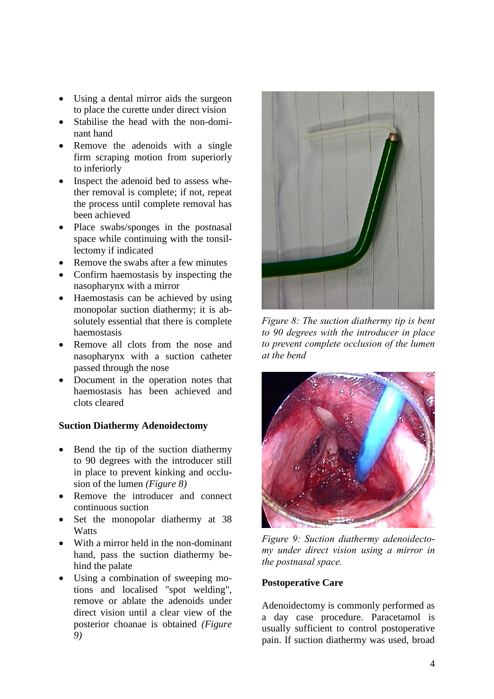- Using a dental mirror aids the surgeon to place the curette under direct vision
- Stabilise the head with the non-dominant hand
- Remove the adenoids with a single firm scraping motion from superiorly to inferiorly
- Inspect the adenoid bed to assess whether removal is complete; if not, repeat the process until complete removal has been achieved
- Place swabs/sponges in the postnasal space while continuing with the tonsillectomy if indicated
- Remove the swabs after a few minutes
- Confirm haemostasis by inspecting the nasopharynx with a mirror
- Haemostasis can be achieved by using monopolar suction diathermy; it is absolutely essential that there is complete haemostasis
- Remove all clots from the nose and nasopharynx with a suction catheter passed through the nose
- Document in the operation notes that haemostasis has been achieved and clots cleared

## **Suction Diathermy Adenoidectomy**

- Bend the tip of the suction diathermy to 90 degrees with the introducer still in place to prevent kinking and occlusion of the lumen *(Figure 8)*
- Remove the introducer and connect continuous suction
- Set the monopolar diathermy at 38 **Watts**
- With a mirror held in the non-dominant hand, pass the suction diathermy behind the palate
- Using a combination of sweeping motions and localised "spot welding", remove or ablate the adenoids under direct vision until a clear view of the posterior choanae is obtained *(Figure 9)*



*Figure 8: The suction diathermy tip is bent to 90 degrees with the introducer in place to prevent complete occlusion of the lumen at the bend*



*Figure 9: Suction diathermy adenoidectomy under direct vision using a mirror in the postnasal space.*

### **Postoperative Care**

Adenoidectomy is commonly performed as a day case procedure. Paracetamol is usually sufficient to control postoperative pain. If suction diathermy was used, broad